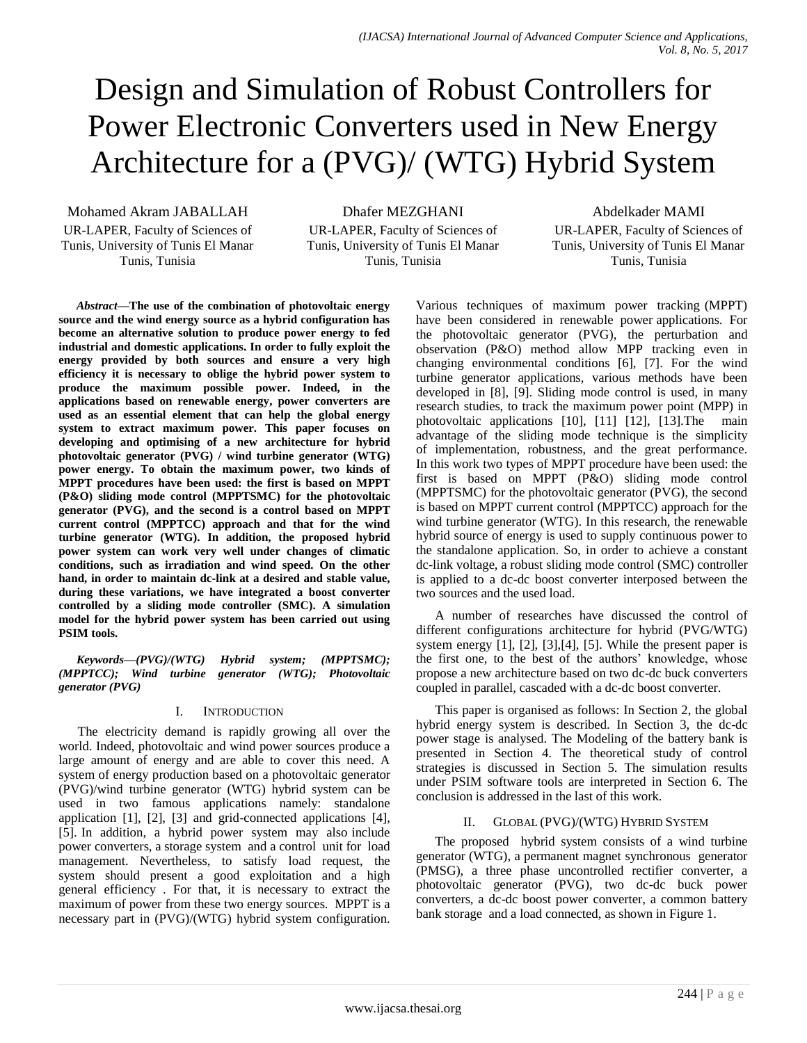# Design and Simulation of Robust Controllers for Power Electronic Converters used in New Energy Architecture for a (PVG)/ (WTG) Hybrid System

Mohamed Akram JABALLAH

UR-LAPER, Faculty of Sciences of Tunis, University of Tunis El Manar Tunis, Tunisia

Dhafer MEZGHANI

UR-LAPER, Faculty of Sciences of Tunis, University of Tunis El Manar Tunis, Tunisia

Abdelkader MAMI

UR-LAPER, Faculty of Sciences of Tunis, University of Tunis El Manar Tunis, Tunisia

*Abstract***—The use of the combination of photovoltaic energy source and the wind energy source as a hybrid configuration has become an alternative solution to produce power energy to fed industrial and domestic applications. In order to fully exploit the energy provided by both sources and ensure a very high efficiency it is necessary to oblige the hybrid power system to produce the maximum possible power. Indeed, in the applications based on renewable energy, power converters are used as an essential element that can help the global energy system to extract maximum power. This paper focuses on developing and optimising of a new architecture for hybrid photovoltaic generator (PVG) / wind turbine generator (WTG) power energy. To obtain the maximum power, two kinds of MPPT procedures have been used: the first is based on MPPT (P&O) sliding mode control (MPPTSMC) for the photovoltaic generator (PVG), and the second is a control based on MPPT current control (MPPTCC) approach and that for the wind turbine generator (WTG). In addition, the proposed hybrid power system can work very well under changes of climatic conditions, such as irradiation and wind speed. On the other hand, in order to maintain dc-link at a desired and stable value, during these variations, we have integrated a boost converter controlled by a sliding mode controller (SMC). A simulation model for the hybrid power system has been carried out using PSIM tools.**

*Keywords—(PVG)/(WTG) Hybrid system; (MPPTSMC); (MPPTCC); Wind turbine generator (WTG); Photovoltaic generator (PVG)*

## I. INTRODUCTION

The electricity demand is rapidly growing all over the world. Indeed, photovoltaic and wind power sources produce a large amount of energy and are able to cover this need. A system of energy production based on a photovoltaic generator (PVG)/wind turbine generator (WTG) hybrid system can be used in two famous applications namely: standalone application [1], [2], [3] and grid-connected applications [4], [5]. In addition, a hybrid power system may also include power converters, a storage system and a control unit for load management. Nevertheless, to satisfy load request, the system should present a good exploitation and a high general efficiency . For that, it is necessary to extract the maximum of power from these two energy sources. MPPT is a necessary part in (PVG)/(WTG) hybrid system configuration. Various techniques of maximum power tracking (MPPT) have been considered in renewable power applications. For the photovoltaic generator (PVG), the perturbation and observation (P&O) method allow MPP tracking even in changing environmental conditions [6], [7]. For the wind turbine generator applications, various methods have been developed in [8], [9]. Sliding mode control is used, in many research studies, to track the maximum power point (MPP) in photovoltaic applications [10], [11] [12], [13].The main advantage of the sliding mode technique is the simplicity of implementation, robustness, and the great performance. In this work two types of MPPT procedure have been used: the first is based on MPPT (P&O) sliding mode control (MPPTSMC) for the photovoltaic generator (PVG), the second is based on MPPT current control (MPPTCC) approach for the wind turbine generator (WTG). In this research, the renewable hybrid source of energy is used to supply continuous power to the standalone application. So, in order to achieve a constant dc-link voltage, a robust sliding mode control (SMC) controller is applied to a dc-dc boost converter interposed between the two sources and the used load.

A number of researches have discussed the control of different configurations architecture for hybrid (PVG/WTG) system energy [1], [2], [3],[4], [5]. While the present paper is the first one, to the best of the authors' knowledge, whose propose a new architecture based on two dc-dc buck converters coupled in parallel, cascaded with a dc-dc boost converter.

This paper is organised as follows: In Section 2, the global hybrid energy system is described. In Section 3, the dc-dc power stage is analysed. The Modeling of the battery bank is presented in Section 4. The theoretical study of control strategies is discussed in Section 5. The simulation results under PSIM software tools are interpreted in Section 6. The conclusion is addressed in the last of this work.

## II. GLOBAL (PVG)/(WTG) HYBRID SYSTEM

The proposed hybrid system consists of a wind turbine generator (WTG), a permanent magnet synchronous generator (PMSG), a three phase uncontrolled rectifier converter, a photovoltaic generator (PVG), two dc-dc buck power converters, a dc-dc boost power converter, a common battery bank storage and a load connected, as shown in Figure 1.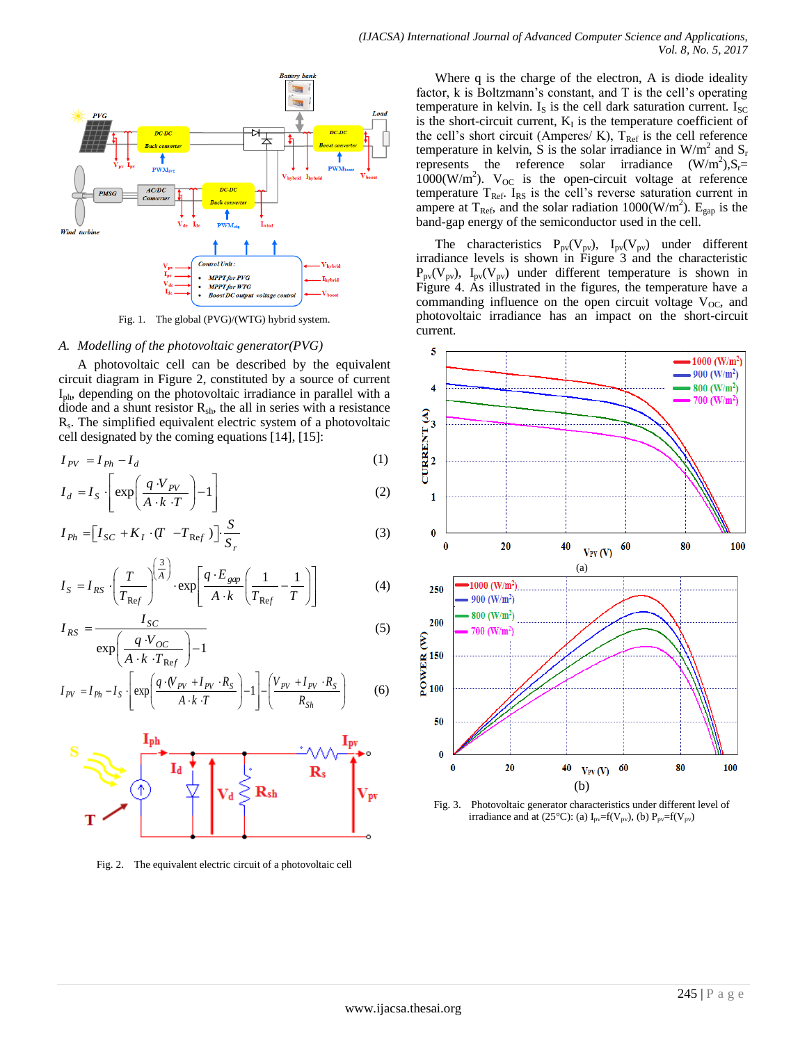

Fig. 1. The global (PVG)/(WTG) hybrid system.

#### *A. Modelling of the photovoltaic generator(PVG)*

A photovoltaic cell can be described by the equivalent circuit diagram in Figure 2, constituted by a source of current Iph, depending on the photovoltaic irradiance in parallel with a diode and a shunt resistor  $R_{sh}$ , the all in series with a resistance Rs . The simplified equivalent electric system of a photovoltaic cell designated by the coming equations [14], [15]:

$$
I_{PV} = I_{Ph} - I_d
$$
\n
$$
I_{L} = \left[ \begin{array}{c} q \cdot V_{PV} \\ \end{array} \right] \qquad (1)
$$

$$
I_d = I_S \cdot \left[ \exp\left( \frac{q \cdot V_{PV}}{A \cdot k \cdot T} \right) - 1 \right]
$$
 (2)

$$
I_{Ph} = \left[I_{SC} + K_I \cdot (T - T_{Ref})\right] \cdot \frac{S}{S_r}
$$
\n(3)

$$
I_S = I_{RS} \cdot \left(\frac{T}{T_{Ref}}\right)^{\left(\frac{3}{A}\right)} \cdot \exp\left[\frac{q \cdot E_{gap}}{A \cdot k} \left(\frac{1}{T_{Ref}} - \frac{1}{T}\right)\right]
$$
(4)

$$
I_{RS} = \frac{I_{SC}}{\exp\left(\frac{q \cdot V_{OC}}{A \cdot k \cdot T_{Ref}}\right) - 1}
$$
 (5)

$$
I_{PV} = I_{Ph} - I_S \left[ \exp\left(\frac{q \cdot (V_{PV} + I_{PV} \cdot R_S)}{A \cdot k \cdot T}\right) - 1 \right] - \left(\frac{V_{PV} + I_{PV} \cdot R_S}{R_{Sh}}\right) \tag{6}
$$



Fig. 2. The equivalent electric circuit of a photovoltaic cell

Where q is the charge of the electron, A is diode ideality factor, k is Boltzmann's constant, and T is the cell's operating temperature in kelvin.  $I_s$  is the cell dark saturation current.  $I_{\rm{SC}}$ is the short-circuit current,  $K_I$  is the temperature coefficient of the cell's short circuit (Amperes/ K),  $T_{\text{Ref}}$  is the cell reference temperature in kelvin, S is the solar irradiance in  $W/m^2$  and  $S_r$ represents the reference solar irradiance  $(W/m^2)$ ,  $S_r =$  $1000(W/m<sup>2</sup>)$ . V<sub>OC</sub> is the open-circuit voltage at reference temperature  $T_{\text{Ref}}$ . I<sub>RS</sub> is the cell's reverse saturation current in ampere at  $T_{\text{Ref}}$ , and the solar radiation 1000(W/m<sup>2</sup>). E<sub>gap</sub> is the band-gap energy of the semiconductor used in the cell.

The characteristics  $P_{pv}(V_{pv})$ ,  $I_{pv}(V_{pv})$  under different irradiance levels is shown in Figure 3 and the characteristic  $P_{pv}(V_{pv})$ ,  $I_{pv}(V_{pv})$  under different temperature is shown in Figure 4. As illustrated in the figures, the temperature have a commanding influence on the open circuit voltage  $V_{OC}$ , and photovoltaic irradiance has an impact on the short-circuit current.



Fig. 3. Photovoltaic generator characteristics under different level of irradiance and at (25°C): (a)  $I_{pv} = f(V_{pv})$ , (b)  $P_{pv} = f(V_{pv})$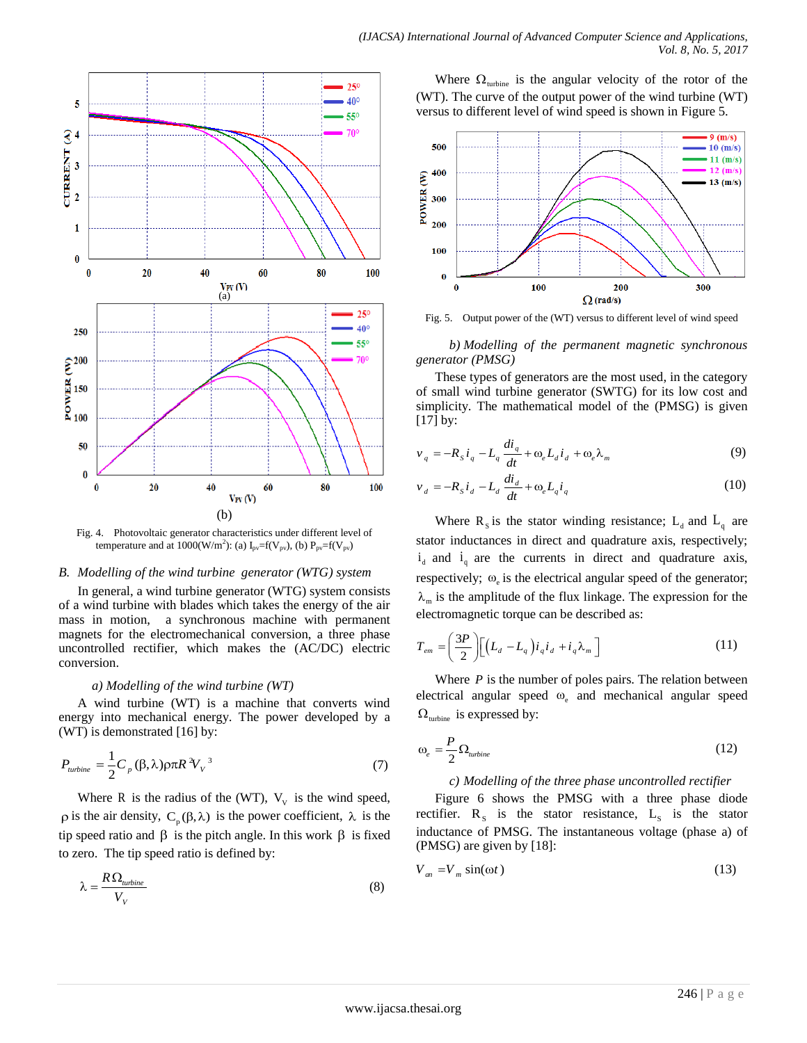

Where  $\Omega_{\text{turbine}}$  is the angular velocity of the rotor of the (WT). The curve of the output power of the wind turbine (WT) versus to different level of wind speed is shown in Figure 5.



Fig. 5. Output power of the (WT) versus to different level of wind speed

*b) Modelling of the permanent magnetic synchronous generator (PMSG)* 

These types of generators are the most used, in the category of small wind turbine generator (SWTG) for its low cost and simplicity. The mathematical model of the (PMSG) is given [17] by:

$$
v_q = -R_s i_q - L_q \frac{di_q}{dt} + \omega_e L_d i_d + \omega_e \lambda_m
$$
\n(9)

$$
v_d = -R_S i_d - L_d \frac{di_d}{dt} + \omega_e L_q i_q \tag{10}
$$

Where  $R_s$  is the stator winding resistance;  $L_d$  and  $L_q$  are stator inductances in direct and quadrature axis, respectively;  $i_d$  and  $i_q$  are the currents in direct and quadrature axis, respectively;  $\omega_e$  is the electrical angular speed of the generator;  $\lambda_{m}$  is the amplitude of the flux linkage. The expression for the electromagnetic torque can be described as:

$$
T_{em} = \left(\frac{3P}{2}\right) \left[ \left(L_d - L_q\right) i_q i_d + i_q \lambda_m \right]
$$
 (11)

Where  $P$  is the number of poles pairs. The relation between electrical angular speed  $\omega_e$  and mechanical angular speed  $\Omega_{\text{turbine}}$  is expressed by:

$$
\omega_e = \frac{P}{2} \Omega_{\text{turbine}} \tag{12}
$$

## *c) Modelling of the three phase uncontrolled rectifier*

Figure 6 shows the PMSG with a three phase diode rectifier.  $R_s$  is the stator resistance,  $L_s$  is the stator inductance of PMSG. The instantaneous voltage (phase a) of (PMSG) are given by [18]:

$$
V_{an} = V_m \sin(\omega t) \tag{13}
$$

Fig. 4. Photovoltaic generator characteristics under different level of temperature and at 1000(W/m<sup>2</sup>): (a) I<sub>pv</sub>=f(V<sub>pv</sub>), (b) P<sub>pv</sub>=f(V<sub>pv</sub>)

#### *B. Modelling of the wind turbine generator (WTG) system*

In general, a wind turbine generator (WTG) system consists of a wind turbine with blades which takes the energy of the air mass in motion, a synchronous machine with permanent magnets for the electromechanical conversion, a three phase uncontrolled rectifier, which makes the (AC/DC) electric conversion.

## *a) Modelling of the wind turbine (WT)*

A wind turbine (WT) is a machine that converts wind energy into mechanical energy. The power developed by a (WT) is demonstrated [16] by:

$$
P_{turbine} = \frac{1}{2} C_p (\beta, \lambda) \rho \pi R^2 V_v^3 \tag{7}
$$

Where R is the radius of the (WT),  $V_v$  is the wind speed,  $\rho$  is the air density,  $C_p(\beta, \lambda)$  is the power coefficient,  $\lambda$  is the tip speed ratio and  $\beta$  is the pitch angle. In this work  $\beta$  is fixed to zero. The tip speed ratio is defined by:

$$
\lambda = \frac{R\,\Omega_{\text{turbine}}}{V_V} \tag{8}
$$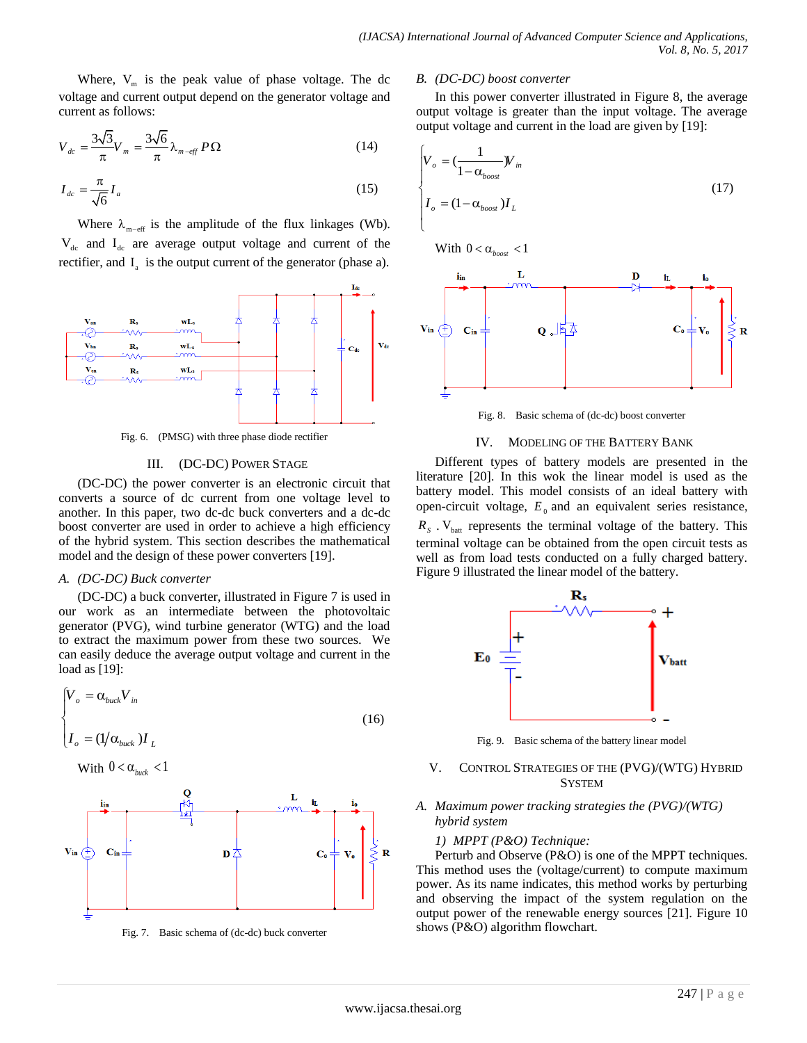Where,  $V_m$  is the peak value of phase voltage. The dc voltage and current output depend on the generator voltage and current as follows:

$$
V_{dc} = \frac{3\sqrt{3}}{\pi} V_m = \frac{3\sqrt{6}}{\pi} \lambda_{m-\text{eff}} P \Omega \tag{14}
$$

$$
I_{dc} = \frac{\pi}{\sqrt{6}} I_a \tag{15}
$$

Where  $\lambda_{m-\text{eff}}$  is the amplitude of the flux linkages (Wb).  $V_{dc}$  and  $I_{dc}$  are average output voltage and current of the rectifier, and  $I_a$  is the output current of the generator (phase a).



Fig. 6. (PMSG) with three phase diode rectifier

### III. (DC-DC) POWER STAGE

(DC-DC) the power converter is an electronic circuit that converts a source of dc current from one voltage level to another. In this paper, two dc-dc buck converters and a dc-dc boost converter are used in order to achieve a high efficiency of the hybrid system. This section describes the mathematical model and the design of these power converters [19].

#### *A. (DC-DC) Buck converter*

(DC-DC) a buck converter, illustrated in Figure 7 is used in our work as an intermediate between the photovoltaic generator (PVG), wind turbine generator (WTG) and the load to extract the maximum power from these two sources. We can easily deduce the average output voltage and current in the load as [19]:

$$
\begin{cases}\nV_o = \alpha_{back} V_{in} \\
I_o = (1/\alpha_{back}) I_L\n\end{cases}
$$
\n(16)

With 
$$
0 < \alpha_{\text{back}} < 1
$$



Fig. 7. Basic schema of (dc-dc) buck converter

#### *B. (DC-DC) boost converter*

In this power converter illustrated in Figure 8, the average output voltage is greater than the input voltage. The average output voltage and current in the load are given by [19]:

$$
\begin{cases}\nV_o = \left(\frac{1}{1 - \alpha_{boost}} W_{in}\right) \\
I_o = (1 - \alpha_{boost}) I_L\n\end{cases}
$$
\n(17)

With  $0 < \alpha_{boost} < 1$ 



Fig. 8. Basic schema of (dc-dc) boost converter

#### IV. MODELING OF THE BATTERY BANK

Different types of battery models are presented in the literature [20]. In this wok the linear model is used as the battery model. This model consists of an ideal battery with open-circuit voltage,  $E_0$  and an equivalent series resistance,  $R<sub>S</sub>$ . V<sub>batt</sub> represents the terminal voltage of the battery. This terminal voltage can be obtained from the open circuit tests as well as from load tests conducted on a fully charged battery. Figure 9 illustrated the linear model of the battery.



Fig. 9. Basic schema of the battery linear model

### V. CONTROL STRATEGIES OF THE (PVG)/(WTG) HYBRID **SYSTEM**

#### *A. Maximum power tracking strategies the (PVG)/(WTG) hybrid system*

#### *1) MPPT (P&O) Technique:*

Perturb and Observe (P&O) is one of the MPPT techniques. This method uses the (voltage/current) to compute maximum power. As its name indicates, this method works by perturbing and observing the impact of the system regulation on the output power of the renewable energy sources [21]. Figure 10 shows (P&O) algorithm flowchart.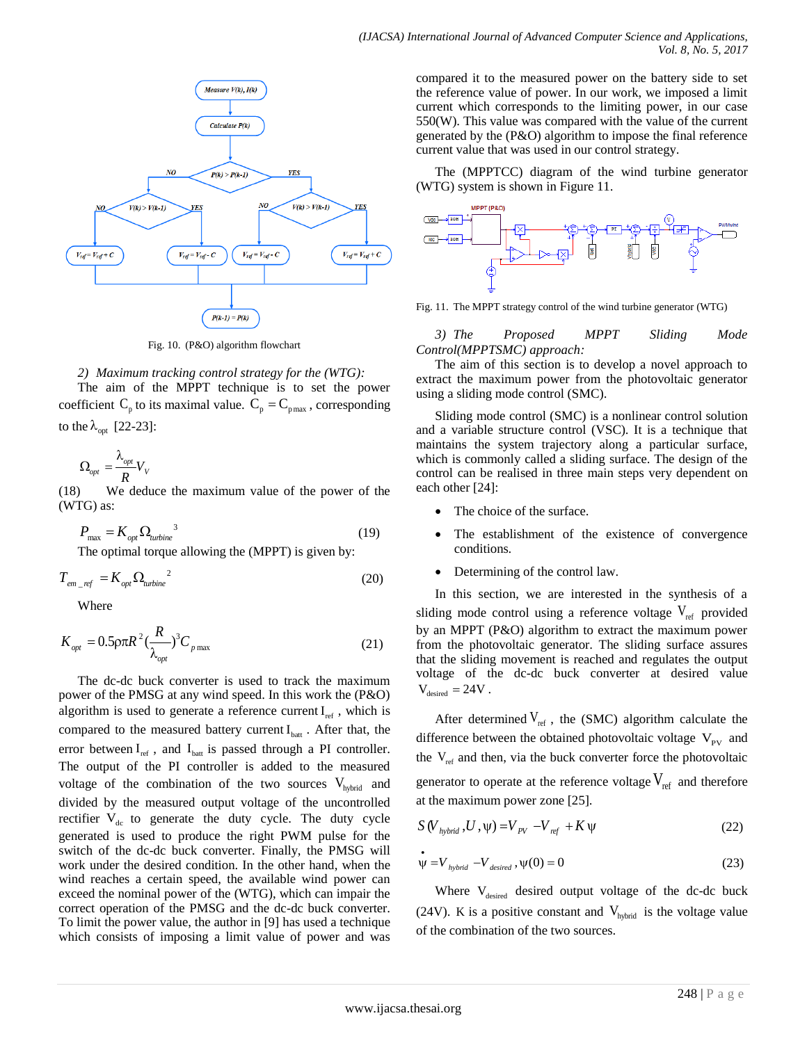

Fig. 10. (P&O) algorithm flowchart

*2) Maximum tracking control strategy for the (WTG):* The aim of the MPPT technique is to set the power coefficient  $C_p$  to its maximal value.  $C_p = C_{pmax}$ , corresponding to the  $\lambda_{opt}$  [22-23]:

$$
\Omega_{opt}^{}=\frac{\lambda_{opt}^{}}{R}V_{_V}
$$

(18) We deduce the maximum value of the power of the (WTG) as:

$$
P_{\text{max}} = K_{opt} \Omega_{turbine}^3 \tag{19}
$$

The optimal torque allowing the (MPPT) is given by:

$$
T_{em\_ref} = K_{opt} \Omega_{turbine}^{2} \tag{20}
$$

Where

$$
K_{opt} = 0.5 \rho \pi R^2 \left(\frac{R}{\lambda_{opt}}\right)^3 C_{p \max} \tag{21}
$$

The dc-dc buck converter is used to track the maximum power of the PMSG at any wind speed. In this work the (P&O) algorithm is used to generate a reference current  $I_{ref}$ , which is compared to the measured battery current  $I<sub>bat</sub>$ . After that, the error between  $I_{ref}$ , and  $I_{bat}$  is passed through a PI controller. The output of the PI controller is added to the measured voltage of the combination of the two sources  $V_{hybrid}$  and divided by the measured output voltage of the uncontrolled rectifier  $V_{dc}$  to generate the duty cycle. The duty cycle generated is used to produce the right PWM pulse for the switch of the dc-dc buck converter. Finally, the PMSG will work under the desired condition. In the other hand, when the wind reaches a certain speed, the available wind power can exceed the nominal power of the (WTG), which can impair the correct operation of the PMSG and the dc-dc buck converter. To limit the power value, the author in [9] has used a technique which consists of imposing a limit value of power and was

compared it to the measured power on the battery side to set the reference value of power. In our work, we imposed a limit current which corresponds to the limiting power, in our case 550(W). This value was compared with the value of the current generated by the (P&O) algorithm to impose the final reference current value that was used in our control strategy.

The (MPPTCC) diagram of the wind turbine generator (WTG) system is shown in Figure 11.



Fig. 11. The MPPT strategy control of the wind turbine generator (WTG)

*3) The Proposed MPPT Sliding Mode Control(MPPTSMC) approach:*

The aim of this section is to develop a novel approach to extract the maximum power from the photovoltaic generator using a sliding mode control (SMC).

Sliding mode control (SMC) is a nonlinear control solution and a variable structure control (VSC). It is a technique that maintains the system trajectory along a particular surface, which is commonly called a sliding surface. The design of the control can be realised in three main steps very dependent on each other [24]:

- The choice of the surface.
- The establishment of the existence of convergence conditions.
- Determining of the control law.

In this section, we are interested in the synthesis of a sliding mode control using a reference voltage  $V_{ref}$  provided by an MPPT (P&O) algorithm to extract the maximum power from the photovoltaic generator. The sliding surface assures that the sliding movement is reached and regulates the output voltage of the dc-dc buck converter at desired value  $V_{\text{desired}} = 24V$ .

After determined  $V_{ref}$ , the (SMC) algorithm calculate the difference between the obtained photovoltaic voltage  $V_{\text{pv}}$  and the  $V_{ref}$  and then, via the buck converter force the photovoltaic generator to operate at the reference voltage  $V_{ref}$  and therefore at the maximum power zone [25].

$$
S(V_{hybrid}, U, \psi) = V_{pV} - V_{ref} + K \psi
$$
\n(22)

$$
\dot{\Psi} = V_{hybrid} - V_{desired}, \Psi(0) = 0
$$
\n(23)

Where V<sub>desired</sub> desired output voltage of the dc-dc buck (24V). K is a positive constant and  $V_{hybrid}$  is the voltage value of the combination of the two sources.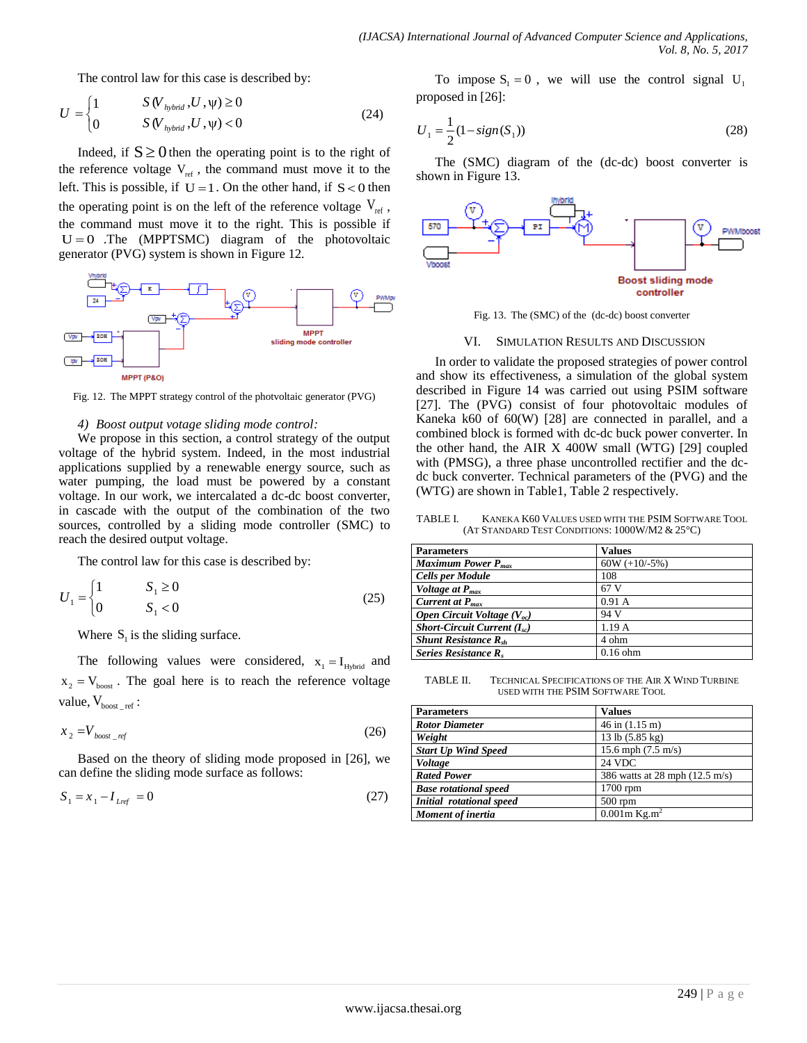The control law for this case is described by:

$$
U = \begin{cases} 1 & S(V_{hybrid}, U, \psi) \ge 0 \\ 0 & S(V_{hybrid}, U, \psi) < 0 \end{cases}
$$
 (24)

Indeed, if  $S \ge 0$  then the operating point is to the right of the reference voltage  $V_{ref}$ , the command must move it to the left. This is possible, if  $U = 1$ . On the other hand, if  $S < 0$  then the operating point is on the left of the reference voltage  $V_{ref}$ , the command must move it to the right. This is possible if  $U = 0$  .The (MPPTSMC) diagram of the photovoltaic generator (PVG) system is shown in Figure 12*.*



Fig. 12. The MPPT strategy control of the photvoltaic generator (PVG)

#### *4) Boost output votage sliding mode control:*

We propose in this section, a control strategy of the output voltage of the hybrid system. Indeed, in the most industrial applications supplied by a renewable energy source, such as water pumping, the load must be powered by a constant voltage. In our work, we intercalated a dc-dc boost converter, in cascade with the output of the combination of the two sources, controlled by a sliding mode controller (SMC) to reach the desired output voltage.

The control law for this case is described by:

$$
U_1 = \begin{cases} 1 & S_1 \ge 0 \\ 0 & S_1 < 0 \end{cases}
$$
 (25)

Where  $S_1$  is the sliding surface.

The following values were considered,  $x_1 = I_{Hybrid}$  and  $x_2 = V_{\text{boost}}$ . The goal here is to reach the reference voltage value,  $V_{\text{boost}_{\text{ref}}}$ :

$$
x_2 = V_{\text{boost\_ref}} \tag{26}
$$

Based on the theory of sliding mode proposed in [26], we can define the sliding mode surface as follows:

$$
S_1 = x_1 - I_{Lref} = 0 \tag{27}
$$

To impose  $S_1 = 0$ , we will use the control signal  $U_1$ proposed in [26]:

$$
U_1 = \frac{1}{2}(1 - sign(S_1))
$$
\n(28)

The (SMC) diagram of the (dc-dc) boost converter is shown in Figure 13.



Fig. 13. The (SMC) of the (dc-dc) boost converter

#### VI. SIMULATION RESULTS AND DISCUSSION

In order to validate the proposed strategies of power control and show its effectiveness, a simulation of the global system described in Figure 14 was carried out using PSIM software [27]. The (PVG) consist of four photovoltaic modules of Kaneka k60 of 60(W) [28] are connected in parallel, and a combined block is formed with dc-dc buck power converter. In the other hand, the AIR X 400W small (WTG) [29] coupled with (PMSG), a three phase uncontrolled rectifier and the dcdc buck converter. Technical parameters of the (PVG) and the (WTG) are shown in Table1, Table 2 respectively.

TABLE I. KANEKA K60 VALUES USED WITH THE PSIM SOFTWARE TOOL (AT STANDARD TEST CONDITIONS: 1000W/M2 & 25°C)

| <b>Parameters</b>                       | <b>Values</b>   |  |
|-----------------------------------------|-----------------|--|
| Maximum Power $P_{\text{max}}$          | $60W (+10/-5%)$ |  |
| <b>Cells per Module</b>                 | 108             |  |
| Voltage at $P_{max}$                    | 67 V            |  |
| Current at $P_{\text{max}}$             | 0.91A           |  |
| Open Circuit Voltage $(V_{oc})$         | 94 V            |  |
| <i>Short-Circuit Current</i> $(I_{sc})$ | 1.19A           |  |
| <b>Shunt Resistance R</b> <sub>sh</sub> | 4 ohm           |  |
| Series Resistance R.                    | $0.16$ ohm      |  |

TABLE II. TECHNICAL SPECIFICATIONS OF THE AIR X WIND TURBINE USED WITH THE PSIM SOFTWARE TOOL

| <b>Parameters</b>               | <b>Values</b>                  |
|---------------------------------|--------------------------------|
| <b>Rotor Diameter</b>           | $46$ in $(1.15 \text{ m})$     |
| Weight                          | 13 lb (5.85 kg)                |
| <b>Start Up Wind Speed</b>      | 15.6 mph $(7.5 \text{ m/s})$   |
| Voltage                         | 24 VDC                         |
| <b>Rated Power</b>              | 386 watts at 28 mph (12.5 m/s) |
| <b>Base rotational speed</b>    | $1700$ rpm                     |
| <b>Initial rotational speed</b> | $500$ rpm                      |
| Moment of inertia               | $0.001$ m Kg.m <sup>2</sup>    |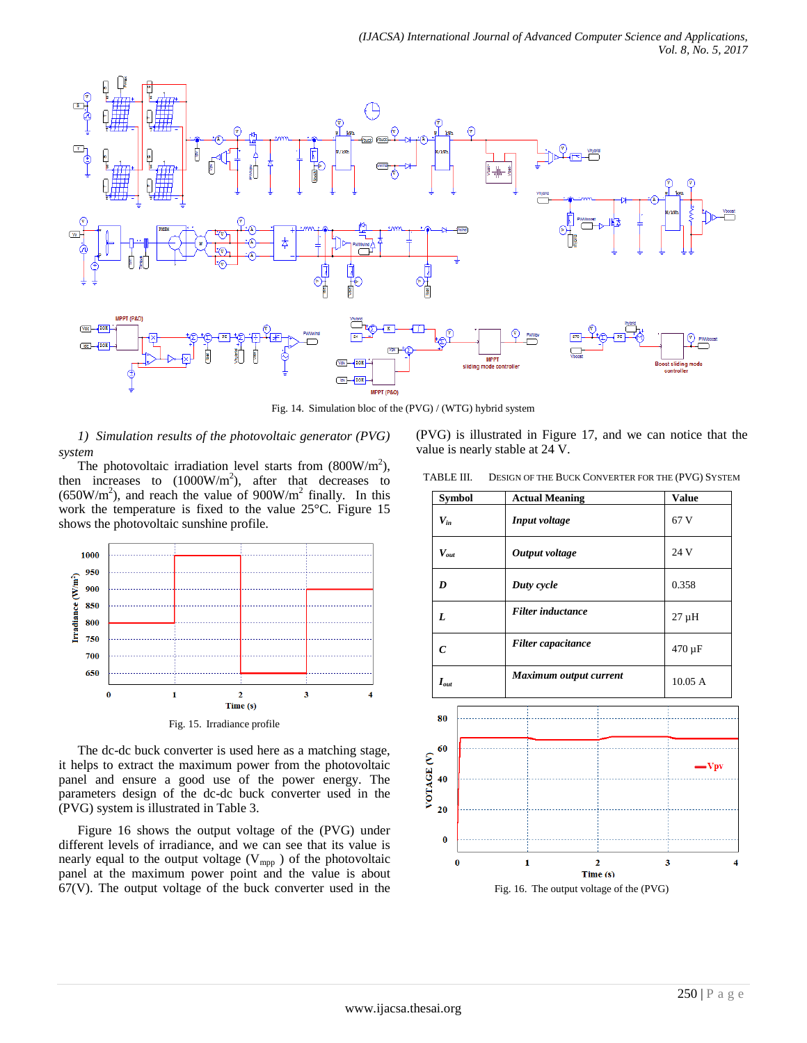

Fig. 14. Simulation bloc of the (PVG) / (WTG) hybrid system

*1) Simulation results of the photovoltaic generator (PVG) system*

The photovoltaic irradiation level starts from  $(800 \text{W/m}^2)$ , then increases to  $(1000W/m<sup>2</sup>)$ , after that decreases to  $(650W/m<sup>2</sup>)$ , and reach the value of  $900W/m<sup>2</sup>$  finally. In this work the temperature is fixed to the value 25°C. Figure 15 shows the photovoltaic sunshine profile.



The dc-dc buck converter is used here as a matching stage, it helps to extract the maximum power from the photovoltaic panel and ensure a good use of the power energy. The parameters design of the dc-dc buck converter used in the (PVG) system is illustrated in Table 3.

Figure 16 shows the output voltage of the (PVG) under different levels of irradiance, and we can see that its value is nearly equal to the output voltage  $(V_{mpp})$  of the photovoltaic panel at the maximum power point and the value is about  $67(V)$ . The output voltage of the buck converter used in the (PVG) is illustrated in Figure 17, and we can notice that the value is nearly stable at 24 V.

| TABLE III. | DESIGN OF THE BUCK CONVERTER FOR THE (PVG) SYSTEM |  |  |
|------------|---------------------------------------------------|--|--|
|------------|---------------------------------------------------|--|--|

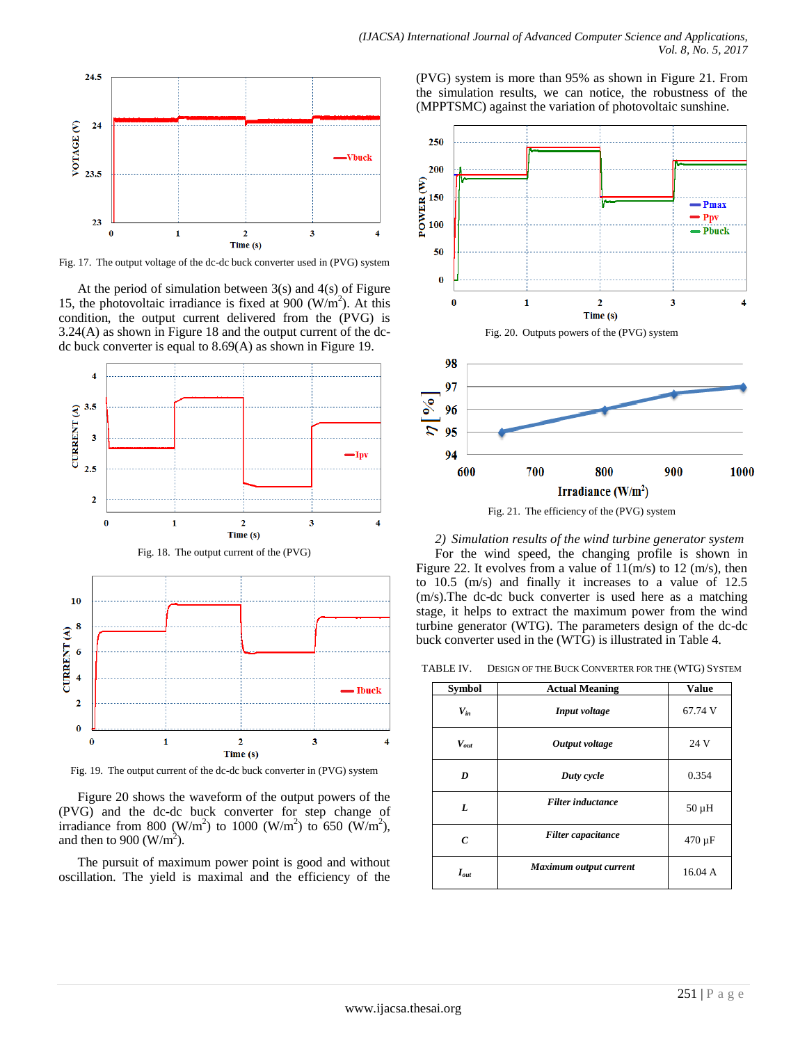

Fig. 17. The output voltage of the dc-dc buck converter used in (PVG) system

At the period of simulation between  $3(s)$  and  $4(s)$  of Figure 15, the photovoltaic irradiance is fixed at  $900$  (W/m<sup>2</sup>). At this condition, the output current delivered from the (PVG) is 3.24(A) as shown in Figure 18 and the output current of the dcdc buck converter is equal to 8.69(A) as shown in Figure 19.



Fig. 19. The output current of the dc-dc buck converter in (PVG) system

Time (s)

Figure 20 shows the waveform of the output powers of the (PVG) and the dc-dc buck converter for step change of irradiance from 800 (W/m<sup>2</sup>) to 1000 (W/m<sup>2</sup>) to 650 (W/m<sup>2</sup>), and then to 900 (W/m<sup>2</sup>).

The pursuit of maximum power point is good and without oscillation. The yield is maximal and the efficiency of the





Fig. 21. The efficiency of the (PVG) system

*2) Simulation results of the wind turbine generator system* For the wind speed, the changing profile is shown in Figure 22. It evolves from a value of  $11(m/s)$  to 12 (m/s), then to 10.5 (m/s) and finally it increases to a value of 12.5 (m/s).The dc-dc buck converter is used here as a matching stage, it helps to extract the maximum power from the wind turbine generator (WTG). The parameters design of the dc-dc buck converter used in the (WTG) is illustrated in Table 4.

TABLE IV. DESIGN OF THE BUCK CONVERTER FOR THE (WTG) SYSTEM

| <b>Symbol</b> | <b>Actual Meaning</b>     | <b>Value</b> |
|---------------|---------------------------|--------------|
| $V_{in}$      | Input voltage             | 67.74 V      |
| $V_{out}$     | Output voltage            | 24 V         |
| D             | Duty cycle                | 0.354        |
| L             | <b>Filter</b> inductance  | $50 \mu H$   |
| C             | <b>Filter</b> capacitance | $470 \mu F$  |
| $I_{out}$     | Maximum output current    | 16.04 A      |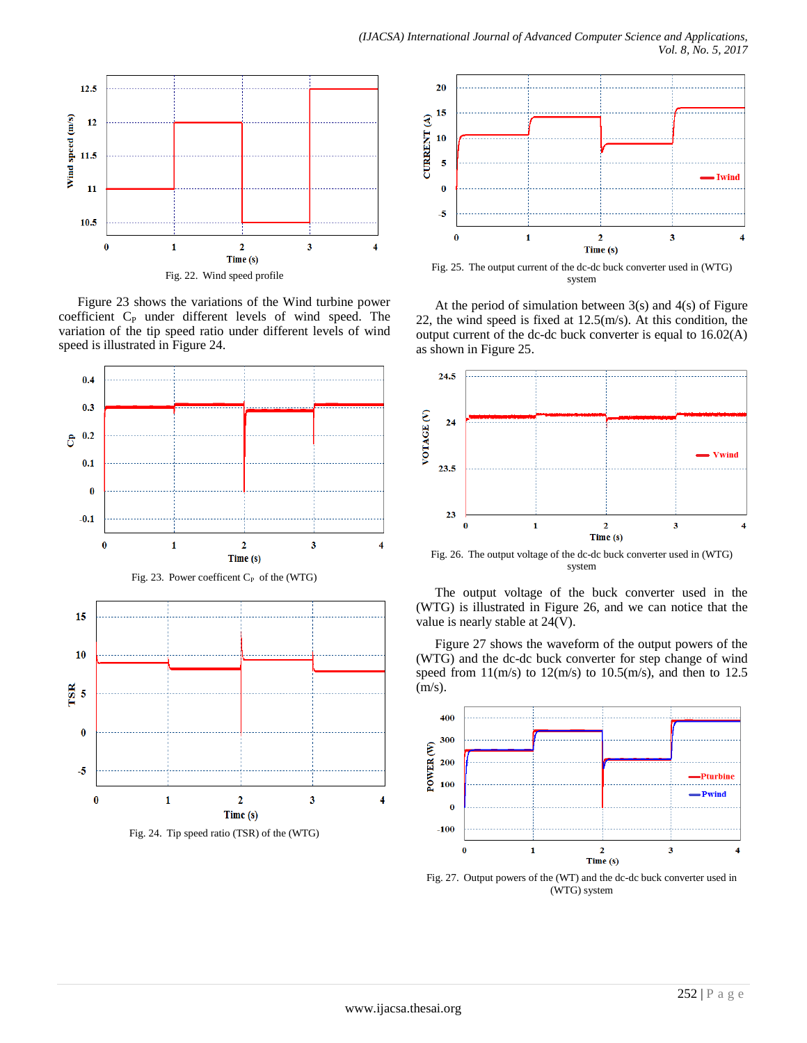

Figure 23 shows the variations of the Wind turbine power coefficient C<sub>P</sub> under different levels of wind speed. The variation of the tip speed ratio under different levels of wind speed is illustrated in Figure 24.



Fig. 24. Tip speed ratio (TSR) of the (WTG)



Fig. 25. The output current of the dc-dc buck converter used in (WTG) system

At the period of simulation between 3(s) and 4(s) of Figure 22, the wind speed is fixed at  $12.5$ (m/s). At this condition, the output current of the dc-dc buck converter is equal to 16.02(A) as shown in Figure 25.



Fig. 26. The output voltage of the dc-dc buck converter used in (WTG) system

The output voltage of the buck converter used in the (WTG) is illustrated in Figure 26, and we can notice that the value is nearly stable at 24(V).

Figure 27 shows the waveform of the output powers of the (WTG) and the dc-dc buck converter for step change of wind speed from  $11(m/s)$  to  $12(m/s)$  to  $10.5(m/s)$ , and then to 12.5 (m/s).



Fig. 27. Output powers of the (WT) and the dc-dc buck converter used in (WTG) system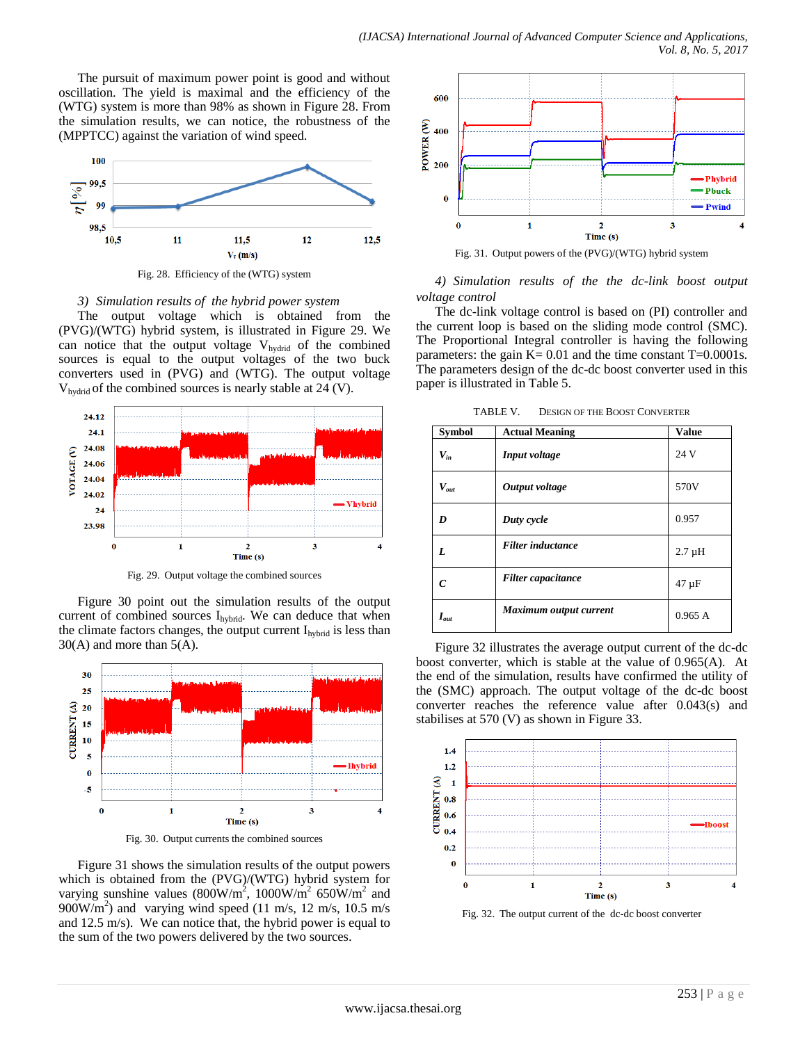The pursuit of maximum power point is good and without oscillation. The yield is maximal and the efficiency of the (WTG) system is more than 98% as shown in Figure 28. From the simulation results, we can notice, the robustness of the (MPPTCC) against the variation of wind speed.



*3) Simulation results of the hybrid power system*

The output voltage which is obtained from the (PVG)/(WTG) hybrid system, is illustrated in Figure 29. We can notice that the output voltage  $V_{hydrid}$  of the combined sources is equal to the output voltages of the two buck converters used in (PVG) and (WTG). The output voltage  $V<sub>hwdrid</sub>$  of the combined sources is nearly stable at 24 (V).



Fig. 29. Output voltage the combined sources

Figure 30 point out the simulation results of the output current of combined sources  $I_{hybrid}$ . We can deduce that when the climate factors changes, the output current  $I_{hybrid}$  is less than  $30(A)$  and more than  $5(A)$ .



Fig. 30. Output currents the combined sources

Figure 31 shows the simulation results of the output powers which is obtained from the (PVG)/(WTG) hybrid system for varying sunshine values  $(800 \text{W/m}^2, 1000 \text{W/m}^2, 650 \text{W/m}^2, 650 \text{W/m}^2)$  $900 \text{W/m}^2$ ) and varying wind speed (11 m/s, 12 m/s, 10.5 m/s and 12.5 m/s). We can notice that, the hybrid power is equal to the sum of the two powers delivered by the two sources.



Fig. 31. Output powers of the (PVG)/(WTG) hybrid system

*4) Simulation results of the the dc-link boost output voltage control*

The dc-link voltage control is based on (PI) controller and the current loop is based on the sliding mode control (SMC). The Proportional Integral controller is having the following parameters: the gain  $K = 0.01$  and the time constant T=0.0001s. The parameters design of the dc-dc boost converter used in this paper is illustrated in Table 5.

TABLE V. DESIGN OF THE BOOST CONVERTER

| <b>Symbol</b> | <b>Actual Meaning</b>     | <b>Value</b> |
|---------------|---------------------------|--------------|
| $V_{in}$      | Input voltage             | 24 V         |
| $V_{out}$     | Output voltage            | 570V         |
| D             | Duty cycle                | 0.957        |
| L             | <b>Filter</b> inductance  | $2.7 \mu H$  |
| C             | <b>Filter</b> capacitance | $47 \mu F$   |
| $I_{out}$     | Maximum output current    | 0.965A       |

Figure 32 illustrates the average output current of the dc-dc boost converter, which is stable at the value of 0.965(A). At the end of the simulation, results have confirmed the utility of the (SMC) approach. The output voltage of the dc-dc boost converter reaches the reference value after 0.043(s) and stabilises at 570 (V) as shown in Figure 33.



Fig. 32. The output current of the dc-dc boost converter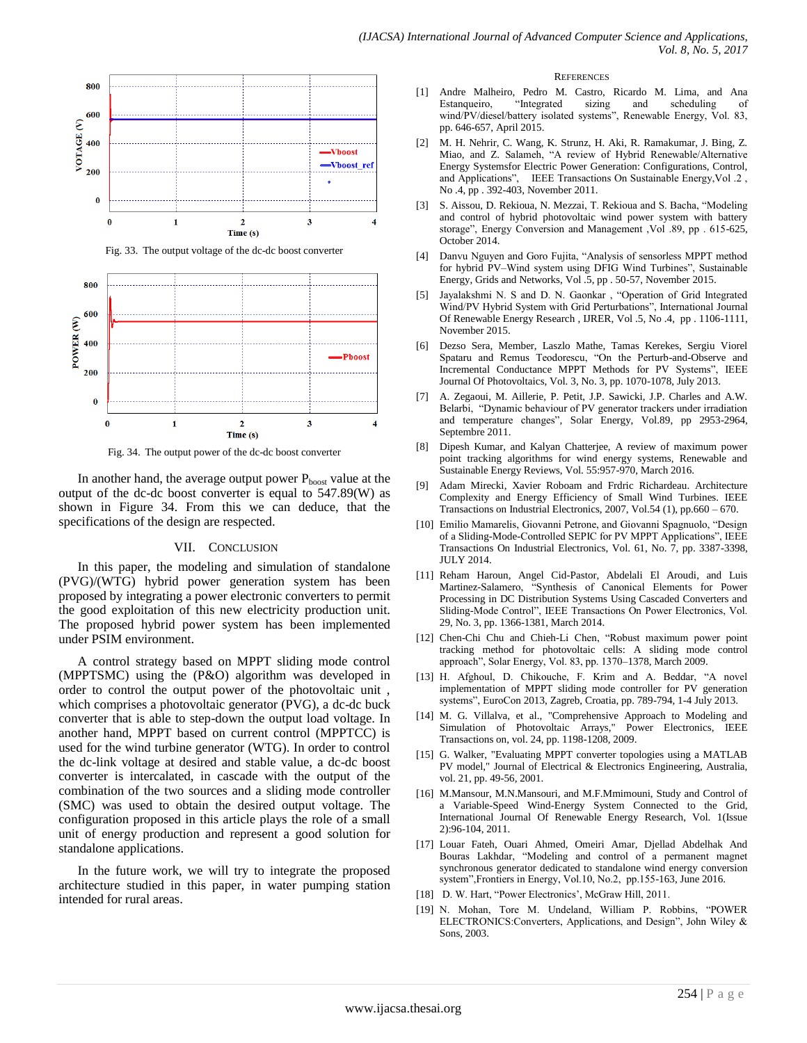

Fig. 33. The output voltage of the dc-dc boost converter



Fig. 34. The output power of the dc-dc boost converter

In another hand, the average output power  $P_{boost}$  value at the output of the dc-dc boost converter is equal to 547.89(W) as shown in Figure 34. From this we can deduce, that the specifications of the design are respected.

#### VII. CONCLUSION

In this paper, the modeling and simulation of standalone (PVG)/(WTG) hybrid power generation system has been proposed by integrating a power electronic converters to permit the good exploitation of this new electricity production unit. The proposed hybrid power system has been implemented under PSIM environment.

A control strategy based on MPPT sliding mode control (MPPTSMC) using the (P&O) algorithm was developed in order to control the output power of the photovoltaic unit , which comprises a photovoltaic generator (PVG), a dc-dc buck converter that is able to step-down the output load voltage. In another hand, MPPT based on current control (MPPTCC) is used for the wind turbine generator (WTG). In order to control the dc-link voltage at desired and stable value, a dc-dc boost converter is intercalated, in cascade with the output of the combination of the two sources and a sliding mode controller (SMC) was used to obtain the desired output voltage. The configuration proposed in this article plays the role of a small unit of energy production and represent a good solution for standalone applications.

In the future work, we will try to integrate the proposed architecture studied in this paper, in water pumping station intended for rural areas.

#### **REFERENCES**

- [1] Andre Malheiro, Pedro M. Castro, Ricardo M. Lima, and Ana Estanqueiro, "Integrated sizing and scheduling of wind/PV/diesel/battery isolated systems", Renewable Energy, Vol. 83, pp. 646-657, April 2015.
- [2] M. H. Nehrir, C. Wang, K. Strunz, H. Aki, R. Ramakumar, J. Bing, Z. Miao, and Z. Salameh, "A review of Hybrid Renewable/Alternative Energy Systemsfor Electric Power Generation: Configurations, Control, and Applications", IEEE Transactions On Sustainable Energy,Vol .2 , No .4, pp . 392-403, November 2011.
- [3] S. Aissou, D. Rekioua, N. Mezzai, T. Rekioua and S. Bacha, "Modeling and control of hybrid photovoltaic wind power system with battery storage", Energy Conversion and Management ,Vol .89, pp . 615-625, October 2014.
- [4] Danvu Nguyen and Goro Fujita, "Analysis of sensorless MPPT method for hybrid PV–Wind system using DFIG Wind Turbines", Sustainable Energy, Grids and Networks, Vol .5, pp . 50-57, November 2015.
- Jayalakshmi N. S and D. N. Gaonkar, "Operation of Grid Integrated Wind/PV Hybrid System with Grid Perturbations", International Journal Of Renewable Energy Research , IJRER, Vol .5, No .4, pp . 1106-1111, November 2015.
- [6] Dezso Sera, Member, Laszlo Mathe, Tamas Kerekes, Sergiu Viorel Spataru and Remus Teodorescu, "On the Perturb-and-Observe and Incremental Conductance MPPT Methods for PV Systems", IEEE Journal Of Photovoltaics, Vol. 3, No. 3, pp. 1070-1078, July 2013.
- [7] A. Zegaoui, M. Aillerie, P. Petit, J.P. Sawicki, J.P. Charles and A.W. Belarbi, "Dynamic behaviour of PV generator trackers under irradiation and temperature changes", Solar Energy, Vol.89, pp 2953-2964, Septembre 2011.
- [8] Dipesh Kumar, and Kalyan Chatterjee, A review of maximum power point tracking algorithms for wind energy systems, Renewable and Sustainable Energy Reviews, Vol. 55:957-970, March 2016.
- Adam Mirecki, Xavier Roboam and Frdric Richardeau. Architecture Complexity and Energy Efficiency of Small Wind Turbines. IEEE Transactions on Industrial Electronics, 2007, Vol.54 (1), pp.660 – 670.
- [10] Emilio Mamarelis, Giovanni Petrone, and Giovanni Spagnuolo, "Design of a Sliding-Mode-Controlled SEPIC for PV MPPT Applications", IEEE Transactions On Industrial Electronics, Vol. 61, No. 7, pp. 3387-3398, JULY 2014.
- [11] Reham Haroun, Angel Cid-Pastor, Abdelali El Aroudi, and Luis Martinez-Salamero, "Synthesis of Canonical Elements for Power Processing in DC Distribution Systems Using Cascaded Converters and Sliding-Mode Control", IEEE Transactions On Power Electronics, Vol. 29, No. 3, pp. 1366-1381, March 2014.
- [12] Chen-Chi Chu and Chieh-Li Chen, "Robust maximum power point tracking method for photovoltaic cells: A sliding mode control approach", Solar Energy, Vol. 83, pp. 1370–1378, March 2009.
- [13] H. Afghoul, D. Chikouche, F. Krim and A. Beddar, "A novel implementation of MPPT sliding mode controller for PV generation systems", EuroCon 2013, Zagreb, Croatia, pp. 789-794, 1-4 July 2013.
- [14] M. G. Villalva, et al., "Comprehensive Approach to Modeling and Simulation of Photovoltaic Arrays," Power Electronics, IEEE Transactions on, vol. 24, pp. 1198-1208, 2009.
- [15] G. Walker, "Evaluating MPPT converter topologies using a MATLAB PV model," Journal of Electrical & Electronics Engineering, Australia, vol. 21, pp. 49-56, 2001.
- [16] M.Mansour, M.N.Mansouri, and M.F.Mmimouni, Study and Control of a Variable-Speed Wind-Energy System Connected to the Grid, International Journal Of Renewable Energy Research, Vol. 1(Issue 2):96-104, 2011.
- [17] Louar Fateh, Ouari Ahmed, Omeiri Amar, Djellad Abdelhak And Bouras Lakhdar, "Modeling and control of a permanent magnet synchronous generator dedicated to standalone wind energy conversion system",Frontiers in Energy, Vol.10, No.2, pp.155-163, June 2016.
- [18] D. W. Hart, "Power Electronics', McGraw Hill, 2011.
- [19] N. Mohan, Tore M. Undeland, William P. Robbins, "POWER ELECTRONICS:Converters, Applications, and Design", John Wiley & Sons, 2003.